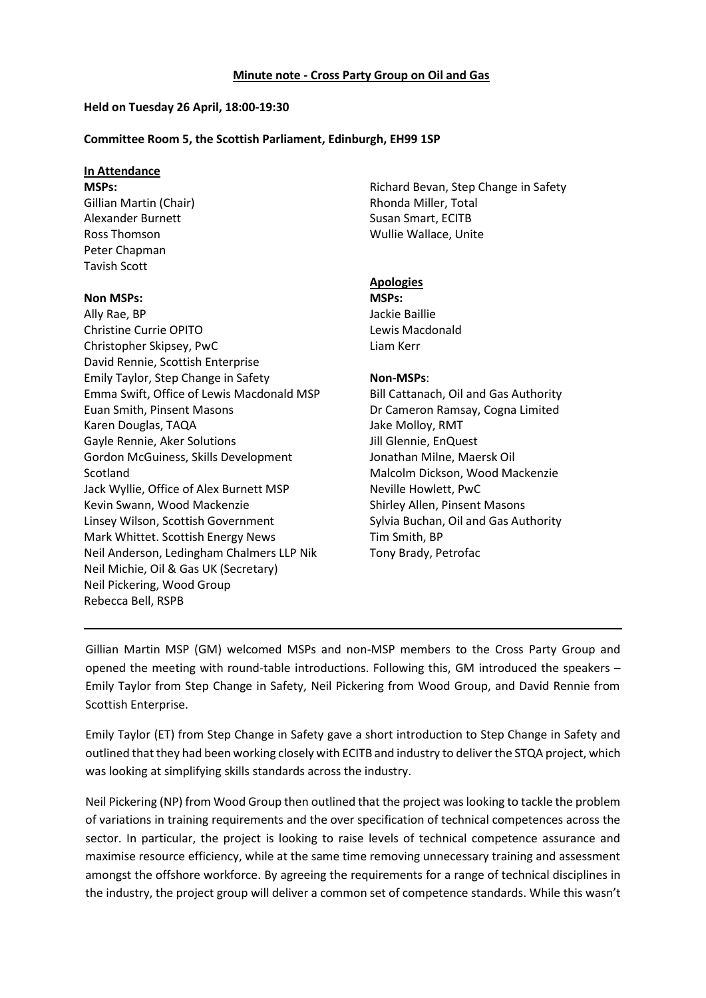#### **Minute note - Cross Party Group on Oil and Gas**

## **Held on Tuesday 26 April, 18:00-19:30**

## **Committee Room 5, the Scottish Parliament, Edinburgh, EH99 1SP**

## **In Attendance**

**MSPs:** Gillian Martin (Chair) Alexander Burnett Ross Thomson Peter Chapman Tavish Scott

## **Non MSPs:**

Ally Rae, BP Christine Currie OPITO Christopher Skipsey, PwC David Rennie, Scottish Enterprise Emily Taylor, Step Change in Safety Emma Swift, Office of Lewis Macdonald MSP Euan Smith, Pinsent Masons Karen Douglas, TAQA Gayle Rennie, Aker Solutions Gordon McGuiness, Skills Development Scotland Jack Wyllie, Office of Alex Burnett MSP Kevin Swann, Wood Mackenzie Linsey Wilson, Scottish Government Mark Whittet. Scottish Energy News Neil Anderson, Ledingham Chalmers LLP Nik Neil Michie, Oil & Gas UK (Secretary) Neil Pickering, Wood Group Rebecca Bell, RSPB

Richard Bevan, Step Change in Safety Rhonda Miller, Total Susan Smart, ECITB Wullie Wallace, Unite

# **Apologies**

**MSPs:** Jackie Baillie Lewis Macdonald Liam Kerr

## **Non-MSPs**:

Bill Cattanach, Oil and Gas Authority Dr Cameron Ramsay, Cogna Limited Jake Molloy, RMT Jill Glennie, EnQuest Jonathan Milne, Maersk Oil Malcolm Dickson, Wood Mackenzie Neville Howlett, PwC Shirley Allen, Pinsent Masons Sylvia Buchan, Oil and Gas Authority Tim Smith, BP Tony Brady, Petrofac

Gillian Martin MSP (GM) welcomed MSPs and non-MSP members to the Cross Party Group and opened the meeting with round-table introductions. Following this, GM introduced the speakers – Emily Taylor from Step Change in Safety, Neil Pickering from Wood Group, and David Rennie from Scottish Enterprise.

Emily Taylor (ET) from Step Change in Safety gave a short introduction to Step Change in Safety and outlined that they had been working closely with ECITB and industry to deliver the STQA project, which was looking at simplifying skills standards across the industry.

Neil Pickering (NP) from Wood Group then outlined that the project was looking to tackle the problem of variations in training requirements and the over specification of technical competences across the sector. In particular, the project is looking to raise levels of technical competence assurance and maximise resource efficiency, while at the same time removing unnecessary training and assessment amongst the offshore workforce. By agreeing the requirements for a range of technical disciplines in the industry, the project group will deliver a common set of competence standards. While this wasn't